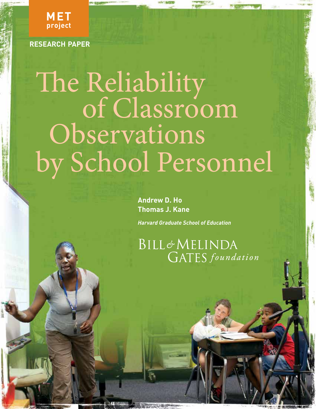

**Research Paper**

# The Reliability of Classroom Observations by School Personnel

**Andrew D. Ho Thomas J. Kane**

*Harvard Graduate School of Education*

**BILL&MELINDA GATES** foundation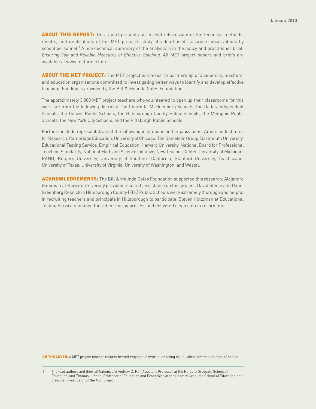ABOUT THIS REPORT: This report presents an in-depth discussion of the technical methods, results, and implications of the MET project's study of video-based classroom observations by school personnel.<sup>1</sup> A non-technical summary of the analysis is in the policy and practitioner brief, *Ensuring Fair and Reliable Measures of Effective Teaching.* All MET project papers and briefs are available at www.metproject.org.

ABOUT THE MET PROJECT: The MET project is a research partnership of academics, teachers, and education organizations committed to investigating better ways to identify and develop effective teaching. Funding is provided by the Bill & Melinda Gates Foundation.

The approximately 3,000 MET project teachers who volunteered to open up their classrooms for this work are from the following districts: The Charlotte-Mecklenburg Schools, the Dallas Independent Schools, the Denver Public Schools, the Hillsborough County Public Schools, the Memphis Public Schools, the New York City Schools, and the Pittsburgh Public Schools.

Partners include representatives of the following institutions and organizations: American Institutes for Research, Cambridge Education, University of Chicago, The Danielson Group, Dartmouth University, Educational Testing Service, Empirical Education, Harvard University, National Board for Professional Teaching Standards, National Math and Science Initiative, New Teacher Center, University of Michigan, RAND, Rutgers University, University of Southern California, Stanford University, Teachscape, University of Texas, University of Virginia, University of Washington, and Westat.

ACKNOWLEDGEMENTS: The Bill & Melinda Gates Foundation supported this research. Alejandro Ganimian at Harvard University provided research assistance on this project. David Steele and Danni Greenberg Resnick in Hillsborough County (Fla.) Public Schools were extremely thorough and helpful in recruiting teachers and principals in Hillsborough to participate. Steven Holtzman at Educational Testing Service managed the video scoring process and delivered clean data in record time.

ON THE COVER: A MET project teacher records herself engaged in instruction using digital video cameras (at right of photo).

<sup>1</sup> The lead authors and their affiliations are Andrew D. Ho., Assistant Professor at the Harvard Graduate School of Education, and Thomas J. Kane, Professor of Education and Economics at the Harvard Graduate School of Education and principal investigator of the MET project.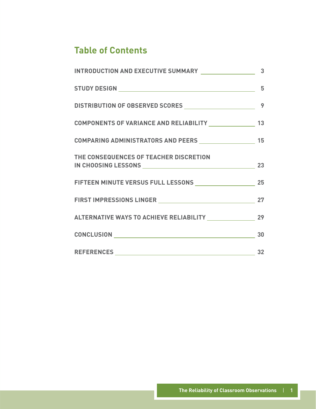# **Table of Contents**

| THE CONSEQUENCES OF TEACHER DISCRETION | 23 |
|----------------------------------------|----|
|                                        |    |
| FIRST IMPRESSIONS LINGER 27            |    |
|                                        |    |
|                                        | 30 |
|                                        |    |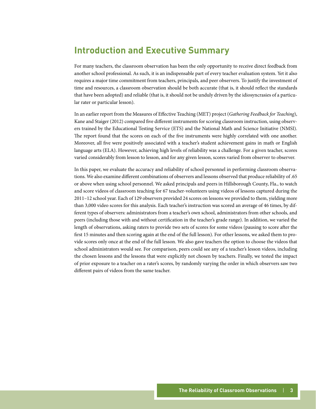## **Introduction and Executive Summary**

For many teachers, the classroom observation has been the only opportunity to receive direct feedback from another school professional. As such, it is an indispensable part of every teacher evaluation system. Yet it also requires a major time commitment from teachers, principals, and peer observers. To justify the investment of time and resources, a classroom observation should be both accurate (that is, it should reflect the standards that have been adopted) and reliable (that is, it should not be unduly driven by the idiosyncrasies of a particular rater or particular lesson).

In an earlier report from the Measures of Effective Teaching (MET) project (*Gathering Feedback for Teaching*), Kane and Staiger (2012) compared five different instruments for scoring classroom instruction, using observers trained by the Educational Testing Service (ETS) and the National Math and Science Initiative (NMSI). The report found that the scores on each of the five instruments were highly correlated with one another. Moreover, all five were positively associated with a teacher's student achievement gains in math or English language arts (ELA). However, achieving high levels of reliability was a challenge. For a given teacher, scores varied considerably from lesson to lesson, and for any given lesson, scores varied from observer to observer.

In this paper, we evaluate the accuracy and reliability of school personnel in performing classroom observations. We also examine different combinations of observers and lessons observed that produce reliability of .65 or above when using school personnel. We asked principals and peers in Hillsborough County, Fla., to watch and score videos of classroom teaching for 67 teacher-volunteers using videos of lessons captured during the 2011–12 school year. Each of 129 observers provided 24 scores on lessons we provided to them, yielding more than 3,000 video scores for this analysis. Each teacher's instruction was scored an average of 46 times, by different types of observers: administrators from a teacher's own school, administrators from other schools, and peers (including those with and without certification in the teacher's grade range). In addition, we varied the length of observations, asking raters to provide two sets of scores for some videos (pausing to score after the first 15 minutes and then scoring again at the end of the full lesson). For other lessons, we asked them to provide scores only once at the end of the full lesson. We also gave teachers the option to choose the videos that school administrators would see. For comparison, peers could see any of a teacher's lesson videos, including the chosen lessons and the lessons that were explicitly not chosen by teachers. Finally, we tested the impact of prior exposure to a teacher on a rater's scores, by randomly varying the order in which observers saw two different pairs of videos from the same teacher.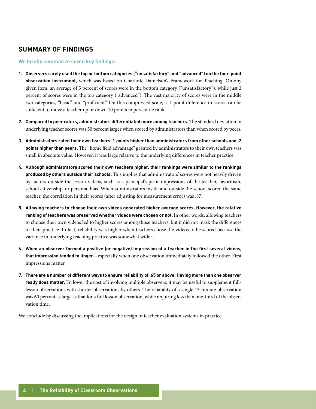#### **Summary of Findings**

#### **We briefly summarize seven key findings:**

- **1. Observers rarely used the top or bottom categories ("unsatisfactory" and "advanced") on the four-point observation instrument,** which was based on Charlotte Danielson's Framework for Teaching. On any given item, an average of 5 percent of scores were in the bottom category ("unsatisfactory"), while just 2 percent of scores were in the top category ("advanced"). The vast majority of scores were in the middle two categories, "basic" and "proficient." On this compressed scale, a .1 point difference in scores can be sufficient to move a teacher up or down 10 points in percentile rank.
- **2. Compared to peer raters, administrators differentiated more among teachers.** The standard deviation in underlying teacher scores was 50 percent larger when scored by administrators than when scored by peers.
- **3. Administrators rated their own teachers .1 points higher than administrators from other schools and .2 points higher than peers.** The "home field advantage" granted by administrators to their own teachers was small in absolute value. However, it was large relative to the underlying differences in teacher practice.
- **4. Although administrators scored their own teachers higher, their rankings were similar to the rankings produced by others outside their schools.** This implies that administrators' scores were not heavily driven by factors outside the lesson videos, such as a principal's prior impressions of the teacher, favoritism, school citizenship, or personal bias. When administrators inside and outside the school scored the same teacher, the correlation in their scores (after adjusting for measurement error) was .87.
- **5. Allowing teachers to choose their own videos generated higher average scores. However, the relative ranking of teachers was preserved whether videos were chosen or not.** In other words, allowing teachers to choose their own videos led to higher scores among those teachers, but it did not mask the differences in their practice. In fact, reliability was higher when teachers chose the videos to be scored because the variance in underlying teaching practice was somewhat wider.
- **6. When an observer formed a positive (or negative) impression of a teacher in the first several videos, that impression tended to linger—**especially when one observation immediately followed the other. First impressions matter.
- **7. There are a number of different ways to ensure reliability of .65 or above. Having more than one observer really does matter.** To lower the cost of involving multiple observers, it may be useful to supplement fulllesson observations with shorter observations by others. The reliability of a single 15-minute observation was 60 percent as large as that for a full lesson observation, while requiring less than one-third of the observation time.

We conclude by discussing the implications for the design of teacher evaluation systems in practice.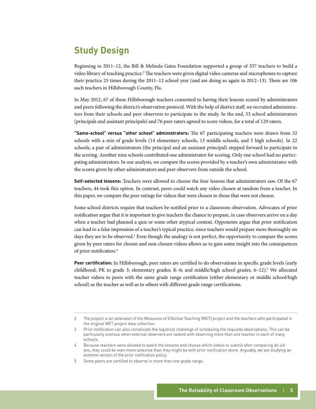# **Study Design**

Beginning in 2011–12, the Bill & Melinda Gates Foundation supported a group of 337 teachers to build a video library of teaching practice.2 The teachers were given digital video cameras and microphones to capture their practice 25 times during the 2011–12 school year (and are doing so again in 2012–13). There are 106 such teachers in Hillsborough County, Fla.

In May 2012, 67 of these Hillsborough teachers consented to having their lessons scored by administrators and peers following the district's observation protocol. With the help of district staff, we recruited administrators from their schools and peer observers to participate in the study. In the end, 53 school administrators (principals and assistant principals) and 76 peer raters agreed to score videos, for a total of 129 raters.

**"Same-school" versus "other school" administrators:** The 67 participating teachers were drawn from 32 schools with a mix of grade levels (14 elementary schools, 13 middle schools, and 5 high schools). In 22 schools, a pair of administrators (the principal and an assistant principal) stepped forward to participate in the scoring. Another nine schools contributed one administrator for scoring. Only one school had no participating administrators. In our analysis, we compare the scores provided by a teacher's own administrator with the scores given by other administrators and peer observers from outside the school.

**Self-selected lessons:** Teachers were allowed to choose the four lessons that administrators saw. Of the 67 teachers, 44 took this option. In contrast, peers could watch any video chosen at random from a teacher. In this paper, we compare the peer ratings for videos that were chosen to those that were not chosen.

Some school districts require that teachers be notified prior to a classroom observation. Advocates of prior notification argue that it is important to give teachers the chance to prepare, in case observers arrive on a day when a teacher had planned a quiz or some other atypical content. Opponents argue that prior notification can lead to a false impression of a teacher's typical practice, since teachers would prepare more thoroughly on days they are to be observed.<sup>3</sup> Even though the analogy is not perfect, the opportunity to compare the scores given by peer raters for chosen and non-chosen videos allows us to gain some insight into the consequences of prior notification.4

**Peer certification:** In Hillsborough, peer raters are certified to do observations in specific grade levels (early childhood; PK to grade 3; elementary grades; K–6; and middle/high school grades, 6–12).<sup>5</sup> We allocated teacher videos to peers with the same grade range certification (either elementary or middle school/high school) as the teacher as well as to others with different grade range certifications.

<sup>2</sup> The project is an extension of the Measures of Effective Teaching (MET) project and the teachers who participated in the original MET project data collection.

<sup>3</sup> Prior notification can also complicate the logistical challenge of scheduling the requisite observations. This can be particularly onerous when external observers are tasked with observing more than one teacher in each of many schools.

<sup>4</sup> Because teachers were allowed to watch the lessons and choose which videos to submit after comparing all videos, they could be even more selective than they might be with prior notification alone. Arguably, we are studying an extreme version of the prior notification policy.

<sup>5</sup> Some peers are certified to observe in more than one grade range.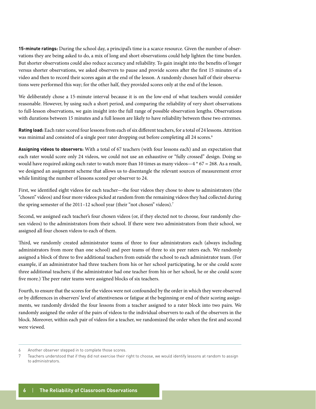**15-minute ratings:** During the school day, a principal's time is a scarce resource. Given the number of observations they are being asked to do, a mix of long and short observations could help lighten the time burden. But shorter observations could also reduce accuracy and reliability. To gain insight into the benefits of longer versus shorter observations, we asked observers to pause and provide scores after the first 15 minutes of a video and then to record their scores again at the end of the lesson. A randomly chosen half of their observations were performed this way; for the other half, they provided scores only at the end of the lesson.

We deliberately chose a 15-minute interval because it is on the low-end of what teachers would consider reasonable. However, by using such a short period, and comparing the reliability of very short observations to full-lesson observations, we gain insight into the full range of possible observation lengths. Observations with durations between 15 minutes and a full lesson are likely to have reliability between these two extremes.

**Rating load:** Each rater scored four lessons from each of six different teachers, for a total of 24 lessons. Attrition was minimal and consisted of a single peer rater dropping out before completing all 24 scores.<sup>6</sup>

**Assigning videos to observers:** With a total of 67 teachers (with four lessons each) and an expectation that each rater would score only 24 videos, we could not use an exhaustive or "fully crossed" design. Doing so would have required asking each rater to watch more than 10 times as many videos—4  $*$  67 = 268. As a result, we designed an assignment scheme that allows us to disentangle the relevant sources of measurement error while limiting the number of lessons scored per observer to 24.

First, we identified eight videos for each teacher—the four videos they chose to show to administrators (the "chosen" videos) and four more videos picked at random from the remaining videos they had collected during the spring semester of the 2011–12 school year (their "not chosen" videos).<sup>7</sup>

Second, we assigned each teacher's four chosen videos (or, if they elected not to choose, four randomly chosen videos) to the administrators from their school. If there were two administrators from their school, we assigned all four chosen videos to each of them.

Third, we randomly created administrator teams of three to four administrators each (always including administrators from more than one school) and peer teams of three to six peer raters each. We randomly assigned a block of three to five additional teachers from outside the school to each administrator team. (For example, if an administrator had three teachers from his or her school participating, he or she could score three additional teachers; if the administrator had one teacher from his or her school, he or she could score five more.) The peer rater teams were assigned blocks of six teachers.

Fourth, to ensure that the scores for the videos were not confounded by the order in which they were observed or by differences in observers' level of attentiveness or fatigue at the beginning or end of their scoring assignments, we randomly divided the four lessons from a teacher assigned to a rater block into two pairs. We randomly assigned the order of the pairs of videos to the individual observers to each of the observers in the block. Moreover, within each pair of videos for a teacher, we randomized the order when the first and second were viewed.

<sup>6</sup> Another observer stepped in to complete those scores.

<sup>7</sup> Teachers understood that if they did not exercise their right to choose, we would identify lessons at random to assign to administrators.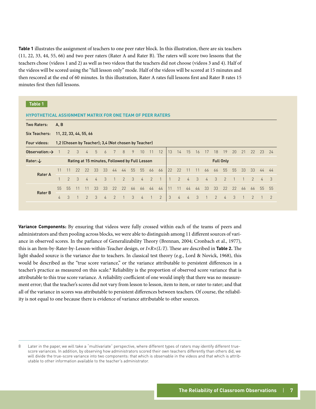**Table 1** illustrates the assignment of teachers to one peer rater block. In this illustration, there are six teachers (11, 22, 33, 44, 55, 66) and two peer raters (Rater A and Rater B). The raters will score two lessons that the teachers chose (videos 1 and 2) as well as two videos that the teachers did not choose (videos 3 and 4). Half of the videos will be scored using the "full lesson only" mode. Half of the videos will be scored at 15 minutes and then rescored at the end of 60 minutes. In this illustration, Rater A rates full lessons first and Rater B rates 15 minutes first then full lessons.

#### **Table 1**

#### **Hypothetical Assignment Matrix for One Team of Peer Raters**

| <b>Two Raters:</b>         | <b>A, B</b>            |               |                         |                |                                                      |                |                |                |               |               |                  |                |                  |                |               |                            |            |               |               |    |    |                |            |                |
|----------------------------|------------------------|---------------|-------------------------|----------------|------------------------------------------------------|----------------|----------------|----------------|---------------|---------------|------------------|----------------|------------------|----------------|---------------|----------------------------|------------|---------------|---------------|----|----|----------------|------------|----------------|
| Six Teachers:              | 11, 22, 33, 44, 55, 66 |               |                         |                |                                                      |                |                |                |               |               |                  |                |                  |                |               |                            |            |               |               |    |    |                |            |                |
| <b>Four videos:</b>        |                        |               |                         |                | 1,2 (Chosen by Teacher); 3,4 (Not chosen by Teacher) |                |                |                |               |               |                  |                |                  |                |               |                            |            |               |               |    |    |                |            |                |
| Observation: $\rightarrow$ |                        | 2             | $\overline{\mathbf{3}}$ | $\overline{4}$ | $5\overline{)}$                                      | 6              | $-7$           | 8              | 9             | 10            | 11               | 12             | 13               | 14             | 15            | 16                         | 17         | 18            | 19            | 20 | 21 | 22             | -23        | 24             |
| Rater: $\downarrow$        |                        |               |                         |                | Rating at 15 minutes, Followed by Full Lesson        |                |                |                |               |               |                  |                | <b>Full Only</b> |                |               |                            |            |               |               |    |    |                |            |                |
| Rater A                    | 11                     | 11            | 22                      | 22             | 33                                                   | 33             | 44             | 44             | 55            | 55            | 66               | 66             | 22               | 22             | 11            | 11                         | 66         | 66            | 55            | 55 | 33 | 33             | 44         | 44             |
|                            |                        | $\mathcal{P}$ | $\mathcal{S}$           | $\sqrt{2}$     | $\sqrt{4}$                                           | $\overline{3}$ | $\overline{1}$ | $\overline{2}$ | $\mathcal{S}$ | $\sqrt{4}$    | $\overline{2}$   | $\overline{1}$ | $\overline{1}$   | $\overline{2}$ | $\sqrt{4}$    | $\mathcal{E}$              | $\sqrt{4}$ | $\mathcal{E}$ | $\mathcal{P}$ |    |    | $\mathcal{P}$  | $\sqrt{2}$ | -3             |
|                            | 55                     | 55            | -11                     | 11             | 33                                                   | 33             | 22             | 22             | 66            | 66            | 44               | 44             | 11               | 11             | 44            | 44                         | 33         | 33            | 22            | 22 | 66 | 66             | 55         | 55             |
| <b>Rater B</b>             | 4                      | 3             |                         | $\mathcal{P}$  | $\mathcal{E}$                                        | 4              | $\mathcal{P}$  |                | 3             | $\frac{1}{4}$ | $\blacksquare$ 1 | $\overline{2}$ | 3                | $\overline{4}$ | $\frac{1}{4}$ | $\overline{\phantom{a}}$ 3 |            | $\mathcal{P}$ | $\sqrt{4}$    | -3 |    | $\overline{2}$ |            | $\overline{2}$ |
|                            |                        |               |                         |                |                                                      |                |                |                |               |               |                  |                |                  |                |               |                            |            |               |               |    |    |                |            |                |

**Variance Components:** By ensuring that videos were fully crossed within each of the teams of peers and administrators and then pooling across blocks, we were able to distinguish among 11 different sources of variance in observed scores. In the parlance of Generalizability Theory (Brennan, 2004; Cronbach et al., 1977), this is an Item-by-Rater-by-Lesson-within-Teacher design, or *I×R×(L:T)*. These are described in **Table 2.** The light shaded source is the variance due to teachers. In classical test theory (e.g., Lord & Novick, 1968), this would be described as the "true score variance," or the variance attributable to persistent differences in a teacher's practice as measured on this scale.<sup>8</sup> Reliability is the proportion of observed score variance that is attributable to this true score variance. A reliability coefficient of one would imply that there was no measurement error; that the teacher's scores did not vary from lesson to lesson, item to item, or rater to rater; and that all of the variance in scores was attributable to persistent differences between teachers. Of course, the reliability is not equal to one because there is evidence of variance attributable to other sources.

8 Later in the paper, we will take a "multivariate" perspective, where different types of raters may identify different truescore variances. In addition, by observing how administrators scored their own teachers differently than others did, we will divide the true-score variance into two components: that which is observable in the videos and that which is attributable to other information available to the teacher's administrator.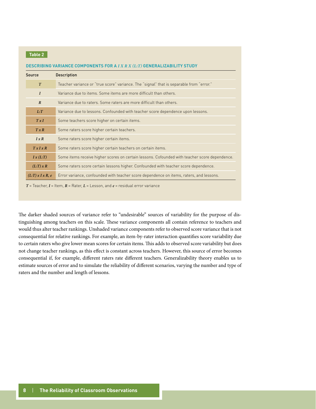#### **Table 2**

#### **Describing variance components for a** *I x r x (L:T)* **Generalizability study**

| Source             | <b>Description</b>                                                                            |
|--------------------|-----------------------------------------------------------------------------------------------|
| T                  | Teacher variance or "true score" variance. The "signal" that is separable from "error."       |
| $\overline{I}$     | Variance due to items. Some items are more difficult than others.                             |
| $\overline{R}$     | Variance due to raters. Some raters are more difficult than others.                           |
| L:T                | Variance due to lessons. Confounded with teacher score dependence upon lessons.               |
| T x I              | Some teachers score higher on certain items.                                                  |
| T x R              | Some raters score higher certain teachers.                                                    |
| I x R              | Some raters score higher certain items.                                                       |
| TxIxR              | Some raters score higher certain teachers on certain items.                                   |
| I x (L:T)          | Some items receive higher scores on certain lessons. Cofounded with teacher score dependence. |
| $(L:T) \times R$   | Some raters score certain lessons higher. Confounded with teacher score dependence.           |
| $(L:T)$ x I x R, e | Error variance, confounded with teacher score dependence on items, raters, and lessons.       |

 $T =$  Teacher,  $I =$  Item,  $R =$  Rater,  $L =$  Lesson, and  $e =$  residual error variance

The darker shaded sources of variance refer to "undesirable" sources of variability for the purpose of distinguishing among teachers on this scale. These variance components all contain reference to teachers and would thus alter teacher rankings. Unshaded variance components refer to observed score variance that is not consequential for relative rankings. For example, an item-by-rater interaction quantifies score variability due to certain raters who give lower mean scores for certain items. This adds to observed score variability but does not change teacher rankings, as this effect is constant across teachers. However, this source of error becomes consequential if, for example, different raters rate different teachers. Generalizability theory enables us to estimate sources of error and to simulate the reliability of different scenarios, varying the number and type of raters and the number and length of lessons.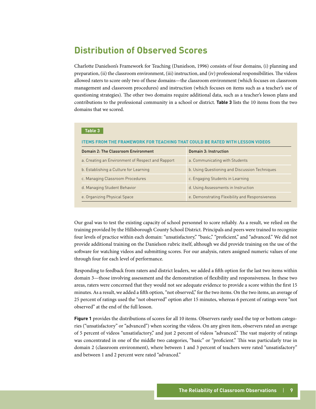# **Distribution of Observed Scores**

Charlotte Danielson's Framework for Teaching (Danielson, 1996) consists of four domains, (i) planning and preparation, (ii) the classroom environment, (iii) instruction, and (iv) professional responsibilities. The videos allowed raters to score only two of these domains—the classroom environment (which focuses on classroom management and classroom procedures) and instruction (which focuses on items such as a teacher's use of questioning strategies). The other two domains require additional data, such as a teacher's lesson plans and contributions to the professional community in a school or district. **Table 3** lists the 10 items from the two domains that we scored.

| <b>ITEMS FROM THE FRAMEWORK FOR TEACHING THAT COULD BE RATED WITH LESSON VIDEOS</b> |                                                 |  |  |  |  |  |  |  |  |
|-------------------------------------------------------------------------------------|-------------------------------------------------|--|--|--|--|--|--|--|--|
| Domain 2: The Classroom Environment                                                 | Domain 3: Instruction                           |  |  |  |  |  |  |  |  |
| a. Creating an Environment of Respect and Rapport                                   | a. Communicating with Students                  |  |  |  |  |  |  |  |  |
| b. Establishing a Culture for Learning                                              | b. Using Questioning and Discussion Techniques  |  |  |  |  |  |  |  |  |
| c. Managing Classroom Procedures                                                    | c. Engaging Students in Learning                |  |  |  |  |  |  |  |  |
| d. Managing Student Behavior                                                        | d. Using Assessments in Instruction             |  |  |  |  |  |  |  |  |
| e. Organizing Physical Space                                                        | e. Demonstrating Flexibility and Responsiveness |  |  |  |  |  |  |  |  |

Our goal was to test the existing capacity of school personnel to score reliably. As a result, we relied on the training provided by the Hillsborough County School District. Principals and peers were trained to recognize four levels of practice within each domain: "unsatisfactory," "basic," "proficient," and "advanced." We did not provide additional training on the Danielson rubric itself, although we did provide training on the use of the software for watching videos and submitting scores. For our analysis, raters assigned numeric values of one through four for each level of performance.

Responding to feedback from raters and district leaders, we added a fifth option for the last two items within domain 3—those involving assessment and the demonstration of flexibility and responsiveness. In these two areas, raters were concerned that they would not see adequate evidence to provide a score within the first 15 minutes. As a result, we added a fifth option, "not observed," for the two items. On the two items, an average of 25 percent of ratings used the "not observed" option after 15 minutes, whereas 6 percent of ratings were "not observed" at the end of the full lesson.

**Figure 1** provides the distributions of scores for all 10 items. Observers rarely used the top or bottom categories ("unsatisfactory" or "advanced") when scoring the videos. On any given item, observers rated an average of 5 percent of videos "unsatisfactory," and just 2 percent of videos "advanced." The vast majority of ratings was concentrated in one of the middle two categories, "basic" or "proficient." This was particularly true in domain 2 (classroom environment), where between 1 and 3 percent of teachers were rated "unsatisfactory" and between 1 and 2 percent were rated "advanced."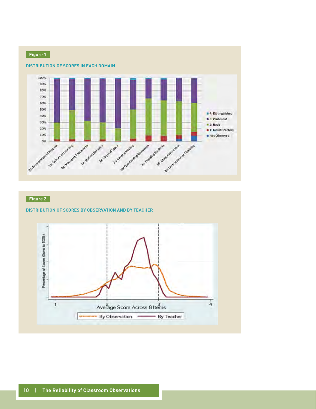

#### **Figure 2**

#### **distribution of scores by observatio n and by teacher**

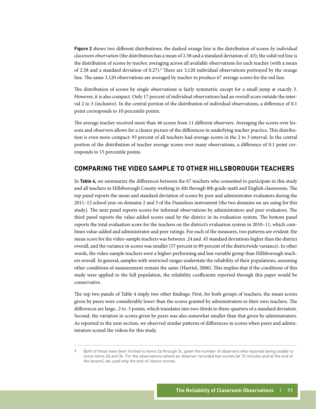**Figure 2** shows two different distributions: the dashed orange line is the distribution of scores *by individual classroom observation* (the distribution has a mean of 2.58 and a standard deviation of .43); the solid red line is the distribution of scores *by teacher,* averaging across all available observations for each teacher (with a mean of 2.58 and a standard deviation of 0.27).<sup>9</sup> There are 3,120 individual observations portrayed by the orange line. The same 3,120 observations are averaged by teacher to produce 67 average scores for the red line.

The distribution of scores by single observations is fairly symmetric except for a small jump at exactly 3. However, it is also compact. Only 17 percent of individual observations had an overall score outside the interval 2 to 3 (inclusive). In the central portion of the distribution of individual observations, a difference of 0.1 point corresponds to 10 percentile points.

The average teacher received more than 46 scores from 11 different observers. Averaging the scores over lessons and observers allows for a clearer picture of the differences in underlying teacher practice. This distribution is even more compact: 93 percent of all teachers had average scores in the 2 to 3 interval. In the central portion of the distribution of teacher average scores over many observations, a difference of 0.1 point corresponds to 15 percentile points.

#### **Comparing the Video Sample to Other Hillsborough Teachers**

In **Table 4,** we summarize the differences between the 67 teachers who consented to participate in this study and all teachers in Hillsborough County working in 4th through 8th grade math and English classrooms. The top panel reports the mean and standard deviation of scores by peer and administrator evaluators during the 2011–12 school year on domains 2 and 3 of the Danielson instrument (the two domains we are using for this study). The next panel reports scores for informal observations by administrators and peer evaluators. The third panel reports the value-added scores used by the district in its evaluation system. The bottom panel reports the total evaluation score for the teachers on the district's evaluation system in 2010–11, which combines value-added and administrator and peer ratings. For each of the measures, two patterns are evident: the mean score for the video-sample teachers was between .24 and .45 standard deviations higher than the district overall, and the variance in scores was smaller (57 percent to 89 percent of the districtwide variance). In other words, the video-sample teachers were a higher-performing and less variable group than Hillsborough teachers overall. In general, samples with restricted ranges understate the reliability of their populations, assuming other conditions of measurement remain the same (Haertel, 2006). This implies that if the conditions of this study were applied to the full population, the reliability coefficients reported through this paper would be conservative.

The top two panels of Table 4 imply two other findings: First, for both groups of teachers, the mean scores given by peers were considerably lower than the scores granted by administrators to their own teachers. The differences are large, .2 to .3 points, which translates into two-thirds to three-quarters of a standard deviation. Second, the variation in scores given by peers was also somewhat smaller than that given by administrators. As reported in the next section, we observed similar patterns of differences in scores when peers and administrators scored the videos for this study.

<sup>9</sup> Both of these have been limited to items 2a through 3c, given the number of observers who reported being unable to score items 3d and 3e. For the observations where an observer recorded two scores (at 15 minutes and at the end of the lesson), we used only the end-of-lesson scores.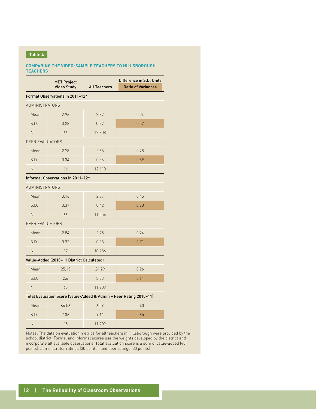#### **Table 4**

#### **Comparing the Video-sample Teachers to Hillsborough Teachers**

|                       | <b>MET Project</b><br><b>Video Study</b>  | <b>All Teachers</b> | Difference in S.D. Units<br><b>Ratio of Variances</b>              |
|-----------------------|-------------------------------------------|---------------------|--------------------------------------------------------------------|
|                       | Formal Observations in 2011-12*           |                     |                                                                    |
| <b>ADMINISTRATORS</b> |                                           |                     |                                                                    |
| Mean                  | 2.96                                      | 2.87                | 0.24                                                               |
| S.D.                  | 0.28                                      | 0.37                | 0.57                                                               |
| $\overline{N}$        | 66                                        | 12,808              |                                                                    |
| PEER EVALUATORS       |                                           |                     |                                                                    |
| Mean                  | 2.78                                      | 2.68                | 0.28                                                               |
| S.D.                  | 0.34                                      | 0.36                | 0.89                                                               |
| N                     | 66                                        | 12,610              |                                                                    |
|                       | Informal Observations in 2011-12*         |                     |                                                                    |
| <b>ADMINISTRATORS</b> |                                           |                     |                                                                    |
| Mean                  | 3.16                                      | 2.97                | 0.45                                                               |
| S.D.                  | 0.37                                      | 0.42                | 0.78                                                               |
| $\mathsf{N}$          | 66                                        | 11,554              |                                                                    |
| PEER EVALUATORS       |                                           |                     |                                                                    |
| Mean                  | 2.84                                      | 2.75                | 0.24                                                               |
| S.D.                  | 0.32                                      | 0.38                | 0.71                                                               |
| N                     | 67                                        | 10,986              |                                                                    |
|                       | Value-Added (2010-11 District Calculated) |                     |                                                                    |
| Mean                  | 25.15                                     | 24.29               | 0.26                                                               |
| S.D.                  | 2.6                                       | 3.33                | 0.61                                                               |
| N                     | 65                                        | 11,709              |                                                                    |
|                       |                                           |                     | Total Evaluation Score (Value-Added & Admin + Peer Rating 2010-11) |
| Mean                  | 64.56                                     | 60.9                | 0.40                                                               |
| S.D.                  | 7.36                                      | 9.11                | 0.65                                                               |
| N                     | 65                                        | 11,709              |                                                                    |

Notes: The data on evaluation metrics for all teachers in Hillsborough were provided by the school district. Formal and informal scores use the weights developed by the district and incorporate all available observations. Total evaluation score is a sum of value-added (40 points), administrator ratings (30 points), and peer ratings (30 points).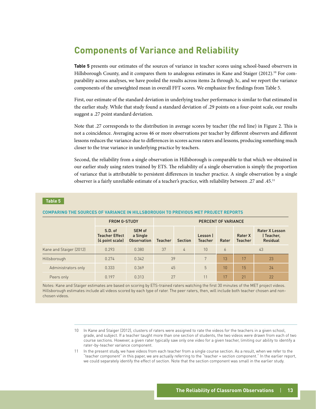# **Components of Variance and Reliability**

**Table 5** presents our estimates of the sources of variance in teacher scores using school-based observers in Hillsborough County, and it compares them to analogous estimates in Kane and Staiger (2012).<sup>10</sup> For comparability across analyses, we have pooled the results across items 2a through 3c, and we report the variance components of the unweighted mean in overall FFT scores. We emphasize five findings from Table 5.

First, our estimate of the standard deviation in underlying teacher performance is similar to that estimated in the earlier study. While that study found a standard deviation of .29 points on a four-point scale, our results suggest a .27 point standard deviation.

Note that .27 corresponds to the distribution in average scores by teacher (the red line) in Figure 2. This is not a coincidence. Averaging across 46 or more observations per teacher by different observers and different lessons reduces the variance due to differences in scores across raters and lessons, producing something much closer to the true variance in underlying practice by teachers.

Second, the reliability from a single observation in Hillsborough is comparable to that which we obtained in our earlier study using raters trained by ETS. The reliability of a single observation is simply the proportion of variance that is attributable to persistent differences in teacher practice. A single observation by a single observer is a fairly unreliable estimate of a teacher's practice, with reliability between .27 and .45.11

#### **Table 5**

|                         |                                                     | <b>FROM G-STUDY</b>                      |                |                | PERCENT OF VARIANCE        |       |                           |                                                        |  |  |  |  |
|-------------------------|-----------------------------------------------------|------------------------------------------|----------------|----------------|----------------------------|-------|---------------------------|--------------------------------------------------------|--|--|--|--|
|                         | S.D. of<br><b>Teacher Effect</b><br>(4 point scale) | SEM of<br>a Single<br><b>Observation</b> | <b>Teacher</b> | <b>Section</b> | Lesson  <br><b>Teacher</b> | Rater | Rater X<br><b>Teacher</b> | <b>Rater X Lesson</b><br>  Teacher,<br><b>Residual</b> |  |  |  |  |
| Kane and Staiger (2012) | 0.293                                               | 0.380                                    | 37             | $\sqrt{ }$     | 10                         | 6     | 43                        |                                                        |  |  |  |  |
| Hillsborough            | 0.274                                               | 0.342                                    | 39             |                | 7                          | 13    | 17                        | 23                                                     |  |  |  |  |
| Administrators only     | 0.333                                               | 0.369                                    | 45             |                | 5                          | 10    | 15                        | 24                                                     |  |  |  |  |
| Peers only              | Q 197                                               | 0.313                                    | 27             |                |                            | 17    | 21                        | 22                                                     |  |  |  |  |

#### **Comparing the Sources of Variance in Hillsborough to Previous MET project Reports**

Notes: Kane and Staiger estimates are based on scoring by ETS-trained raters watching the first 30 minutes of the MET project videos. Hillsborough estimates include all videos scored by each type of rater. The peer raters, then, will include both teacher chosen and nonchosen videos.

<sup>10</sup> In Kane and Staiger (2012), clusters of raters were assigned to rate the videos for the teachers in a given school, grade, and subject. If a teacher taught more than one section of students, the two videos were drawn from each of two course sections. However, a given rater typically saw only one video for a given teacher, limiting our ability to identify a rater-by-teacher variance component.

<sup>11</sup> In the present study, we have videos from each teacher from a single course section. As a result, when we refer to the "teacher component" in this paper, we are actually referring to the "teacher + section component." In the earlier report, we could separately identify the effect of section. Note that the section component was small in the earlier study.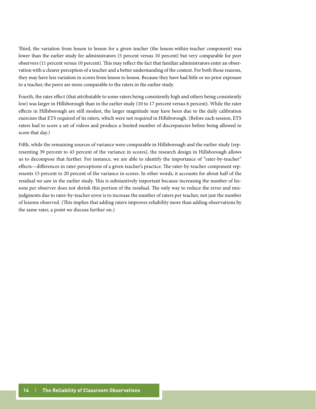Third, the variation from lesson to lesson for a given teacher (the lesson-within-teacher component) was lower than the earlier study for administrators (5 percent versus 10 percent) but very comparable for peer observers (11 percent versus 10 percent). This may reflect the fact that familiar administrators enter an observation with a clearer perception of a teacher and a better understanding of the context. For both those reasons, they may have less variation in scores from lesson to lesson. Because they have had little or no prior exposure to a teacher, the peers are more comparable to the raters in the earlier study.

Fourth, the rater effect (that attributable to some raters being consistently high and others being consistently low) was larger in Hillsborough than in the earlier study (10 to 17 percent versus 6 percent). While the rater effects in Hillsborough are still modest, the larger magnitude may have been due to the daily calibration exercises that ETS required of its raters, which were not required in Hillsborough. (Before each session, ETS raters had to score a set of videos and produce a limited number of discrepancies before being allowed to score that day.)

Fifth, while the remaining sources of variance were comparable in Hillsborough and the earlier study (representing 39 percent to 43 percent of the variance in scores), the research design in Hillsborough allows us to decompose that further. For instance, we are able to identify the importance of "rater-by-teacher" effects—differences in rater perceptions of a given teacher's practice. The rater-by-teacher component represents 15 percent to 20 percent of the variance in scores. In other words, it accounts for about half of the residual we saw in the earlier study. This is substantively important because increasing the number of lessons per observer does not shrink this portion of the residual. The only way to reduce the error and misjudgments due to rater-by-teacher error is to increase the number of raters per teacher, not just the number of lessons observed. (This implies that adding raters improves reliability more than adding observations by the same rater, a point we discuss further on.)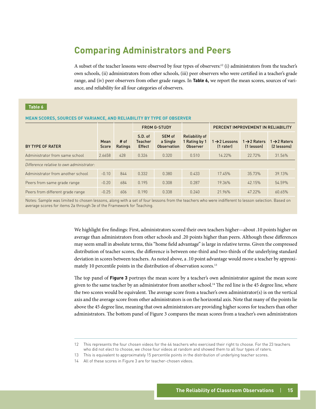# **Comparing Administrators and Peers**

A subset of the teacher lessons were observed by four types of observers:<sup>12</sup> (i) administrators from the teacher's own schools, (ii) administrators from other schools, (iii) peer observers who were certified in a teacher's grade range, and (iv) peer observers from other grade ranges. In **Table 6,** we report the mean scores, sources of variance, and reliability for all four categories of observers.

#### **Table 6**

#### **Mean Scores, Sources of Variance, and Reliability by Type of Observer**

|                                           |               |                   |                                            | <b>FROM G-STUDY</b>                      |                                                           |                                         | PERCENT IMPROVEMENT IN RELIABILITY     |                                         |  |
|-------------------------------------------|---------------|-------------------|--------------------------------------------|------------------------------------------|-----------------------------------------------------------|-----------------------------------------|----------------------------------------|-----------------------------------------|--|
| BY TYPE OF RATER                          | Mean<br>Score | $#$ of<br>Ratings | S.D. of<br><b>Teacher</b><br><b>Effect</b> | SEM of<br>a Single<br><b>Observation</b> | <b>Reliability of</b><br>1 Rating by 1<br><b>Observer</b> | $1\rightarrow$ 2 Lessons<br>$(1$ rater) | $1 \rightarrow 2$ Raters<br>[1 lesson] | $1 \rightarrow 2$ Raters<br>(2 lessons) |  |
| Administrator from same school            | 2.6658        | 428               | 0.326                                      | 0.320                                    | 0.510                                                     | $14.22\%$                               | 22.72%                                 | 31.56%                                  |  |
| Difference relative to own administrator: |               |                   |                                            |                                          |                                                           |                                         |                                        |                                         |  |
| Administrator from another school         | $-0.10$       | 844               | 0.332                                      | 0.380                                    | 0.433                                                     | 17.45%                                  | 35.73%                                 | 39.13%                                  |  |
| Peers from same grade range               | $-0.20$       | 684               | 0.195                                      | 0.308                                    | 0.287                                                     | 19.36%                                  | 42.15%                                 | 54.59%                                  |  |
| Peers from different grade range          | $-0.25$       | 606               | 0.190                                      | 0.338                                    | 0.240                                                     | 21.96%                                  | 47.22%                                 | 60.65%                                  |  |

Notes: Sample was limited to chosen lessons, along with a set of four lessons from the teachers who were indifferent to lesson selection. Based on average scores for items 2a through 3e of the Framework for Teaching.

> We highlight five findings: First, administrators scored their own teachers higher—about .10 points higher on average than administrators from other schools and .20 points higher than peers. Although these differences may seem small in absolute terms, this "home field advantage" is large in relative terms. Given the compressed distribution of teacher scores, the difference is between one-third and two-thirds of the underlying standard deviation in scores between teachers. As noted above, a .10 point advantage would move a teacher by approximately 10 percentile points in the distribution of observation scores.<sup>13</sup>

> The top panel of **Figure 3** portrays the mean score by a teacher's own administrator against the mean score given to the same teacher by an administrator from another school.14 The red line is the 45 degree line, where the two scores would be equivalent. The average score from a teacher's own administrator(s) is on the vertical axis and the average score from other administrators is on the horizontal axis. Note that many of the points lie above the 45 degree line, meaning that own administrators are providing higher scores for teachers than other administrators. The bottom panel of Figure 3 compares the mean scores from a teacher's own administrators

<sup>12</sup> This represents the four chosen videos for the 44 teachers who exercised their right to choose. For the 23 teachers who did not elect to choose, we chose four videos at random and showed them to all four types of raters.

<sup>13</sup> This is equivalent to approximately 15 percentile points in the distribution of underlying teacher scores.

<sup>14</sup> All of these scores in Figure 3 are for teacher-chosen videos.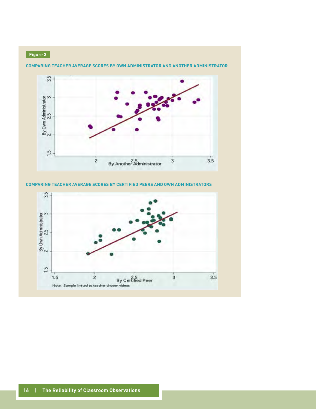#### **Figure 3**

#### **compari ng teacher average scores by own administrator and another administrator**



**compari ng teacher average scores by certified peers and own administrators**

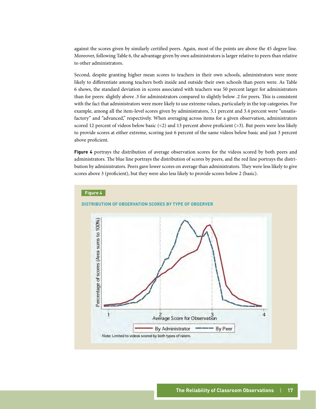against the scores given by similarly certified peers. Again, most of the points are above the 45 degree line. Moreover, following Table 6, the advantage given by own administrators is larger relative to peers than relative to other administrators.

Second, despite granting higher mean scores to teachers in their own schools, administrators were more likely to differentiate among teachers both inside and outside their own schools than peers were. As Table 6 shows, the standard deviation in scores associated with teachers was 50 percent larger for administrators than for peers: slightly above .3 for administrators compared to slightly below .2 for peers. This is consistent with the fact that administrators were more likely to use extreme values, particularly in the top categories. For example, among all the item-level scores given by administrators, 5.1 percent and 3.4 percent were "unsatisfactory" and "advanced," respectively. When averaging across items for a given observation, administrators scored 12 percent of videos below basic (<2) and 13 percent above proficient (>3). But peers were less likely to provide scores at either extreme, scoring just 6 percent of the same videos below basic and just 3 percent above proficient.

**Figure 4** portrays the distribution of average observation scores for the videos scored by both peers and administrators. The blue line portrays the distribution of scores by peers, and the red line portrays the distribution by administrators. Peers gave lower scores on average than administrators. They were less likely to give scores above 3 (proficient), but they were also less likely to provide scores below 2 (basic).

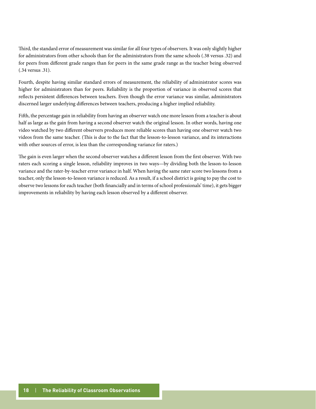Third, the standard error of measurement was similar for all four types of observers. It was only slightly higher for administrators from other schools than for the administrators from the same schools (.38 versus .32) and for peers from different grade ranges than for peers in the same grade range as the teacher being observed (.34 versus .31).

Fourth, despite having similar standard errors of measurement, the reliability of administrator scores was higher for administrators than for peers. Reliability is the proportion of variance in observed scores that reflects persistent differences between teachers. Even though the error variance was similar, administrators discerned larger underlying differences between teachers, producing a higher implied reliability.

Fifth, the percentage gain in reliability from having an observer watch one more lesson from a teacher is about half as large as the gain from having a second observer watch the original lesson. In other words, having one video watched by two different observers produces more reliable scores than having one observer watch two videos from the same teacher. (This is due to the fact that the lesson-to-lesson variance, and its interactions with other sources of error, is less than the corresponding variance for raters.)

The gain is even larger when the second observer watches a different lesson from the first observer. With two raters each scoring a single lesson, reliability improves in two ways—by dividing both the lesson-to-lesson variance and the rater-by-teacher error variance in half. When having the same rater score two lessons from a teacher, only the lesson-to-lesson variance is reduced. As a result, if a school district is going to pay the cost to observe two lessons for each teacher (both financially and in terms of school professionals' time), it gets bigger improvements in reliability by having each lesson observed by a different observer.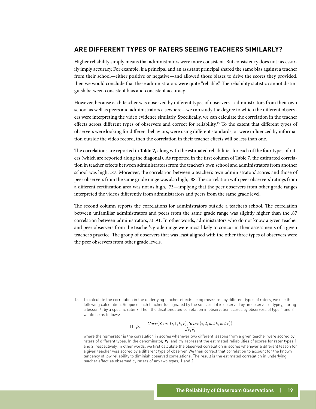#### **Are Different Types of Raters Seeing Teachers Similarly?**

Higher reliability simply means that administrators were more consistent. But consistency does not necessarily imply accuracy. For example, if a principal and an assistant principal shared the same bias against a teacher from their school—either positive or negative—and allowed those biases to drive the scores they provided, then we would conclude that these administrators were quite "reliable." The reliability statistic cannot distinguish between consistent bias and consistent accuracy.

However, because each teacher was observed by different types of observers—administrators from their own school as well as peers and administrators elsewhere—we can study the degree to which the different observers were interpreting the video evidence similarly. Specifically, we can calculate the correlation in the teacher effects across different types of observers and correct for reliability.15 To the extent that different types of observers were looking for different behaviors, were using different standards, or were influenced by information outside the video record, then the correlation in their teacher effects will be less than one.

The correlations are reported in **Table 7,** along with the estimated reliabilities for each of the four types of raters (which are reported along the diagonal). As reported in the first column of Table 7, the estimated correlation in teacher effects between administrators from the teacher's own school and administrators from another school was high, .87. Moreover, the correlation between a teacher's own administrators' scores and those of peer observers from the same grade range was also high, .88. The correlation with peer observers' ratings from a different certification area was not as high, .73—implying that the peer observers from other grade ranges interpreted the videos differently from administrators and peers from the same grade level.

The second column reports the correlations for administrators outside a teacher's school. The correlation between unfamiliar administrators and peers from the same grade range was slightly higher than the .87 correlation between administrators, at .91. In other words, administrators who do not know a given teacher and peer observers from the teacher's grade range were most likely to concur in their assessments of a given teacher's practice. The group of observers that was least aligned with the other three types of observers were the peer observers from other grade levels.

$$
(1) \rho_{12} = \frac{Corr(Score(i,1,k,r),Score(i,2,notk,notr))}{\sqrt{r_1r_2}}
$$

where the numerator is the correlation in scores whenever two different lessons from a given teacher were scored by raters of different types. In the denominator,  $r_1$  and  $r_2$  represent the estimated reliabilities of scores for rater types 1 and 2, respectively. In other words, we first calculate the observed correlation in scores whenever a different lesson for a given teacher was scored by a different type of observer. We then correct that correlation to account for the known tendency of low reliability to diminish observed correlations. The result is the estimated correlation in underlying teacher effect as observed by raters of any two types, 1 and 2.

<sup>15</sup> To calculate the correlation in the underlying teacher effects being measured by different types of raters, we use the following calculation. Suppose each teacher (designated by the subscript *i*) is observed by an observer of type *j*, during a lesson *k*, by a specific rater *r*. Then the disattenuated correlation in observation scores by observers of type 1 and 2 would be as follows: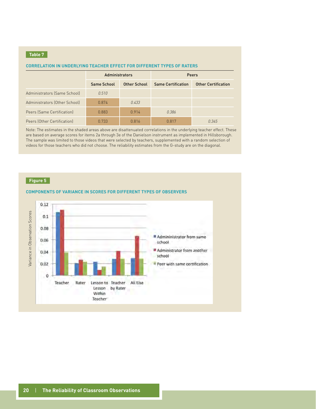#### **Table 7**

#### **Correlation in Underlying Teacher Effect for Different Types of Raters**

|                               | <b>Administrators</b> |              | <b>Peers</b>              |                            |  |  |
|-------------------------------|-----------------------|--------------|---------------------------|----------------------------|--|--|
|                               | Same School           | Other School | <b>Same Certification</b> | <b>Other Certification</b> |  |  |
| Administrators (Same School)  | 0.510                 |              |                           |                            |  |  |
| Administrators (Other School) | 0.874                 | 0.433        |                           |                            |  |  |
| Peers (Same Certification)    | 0.883                 | 0.914        | 0.386                     |                            |  |  |
| Peers (Other Certification)   | 0.733                 | 0.816        | 0.817                     | 0.345                      |  |  |

Note: The estimates in the shaded areas above are disattenuated correlations in the underlying teacher effect. These are based on average scores for items 2a through 3e of the Danielson instrument as implemented in Hillsborough. The sample was limited to those videos that were selected by teachers, supplemented with a random selection of videos for those teachers who did not choose. The reliability estimates from the G-study are on the diagonal.

**Figure 5**

#### **Components of Variance in Scores for Different Types of Observers**

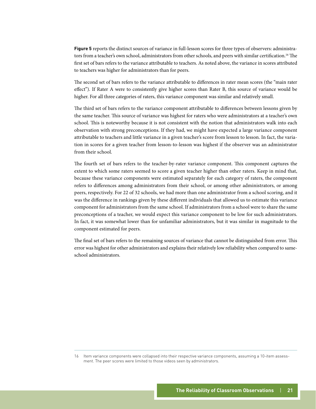**Figure 5** reports the distinct sources of variance in full-lesson scores for three types of observers: administrators from a teacher's own school, administrators from other schools, and peers with similar certification.<sup>16</sup> The first set of bars refers to the variance attributable to teachers. As noted above, the variance in scores attributed to teachers was higher for administrators than for peers.

The second set of bars refers to the variance attributable to differences in rater mean scores (the "main rater effect"). If Rater A were to consistently give higher scores than Rater B, this source of variance would be higher. For all three categories of raters, this variance component was similar and relatively small.

The third set of bars refers to the variance component attributable to differences between lessons given by the same teacher. This source of variance was highest for raters who were administrators at a teacher's own school. This is noteworthy because it is not consistent with the notion that administrators walk into each observation with strong preconceptions. If they had, we might have expected a large variance component attributable to teachers and little variance in a given teacher's score from lesson to lesson. In fact, the variation in scores for a given teacher from lesson-to-lesson was highest if the observer was an administrator from their school.

The fourth set of bars refers to the teacher-by-rater variance component. This component captures the extent to which some raters seemed to score a given teacher higher than other raters. Keep in mind that, because these variance components were estimated separately for each category of raters, the component refers to differences among administrators from their school, or among other administrators, or among peers, respectively. For 22 of 32 schools, we had more than one administrator from a school scoring, and it was the difference in rankings given by these different individuals that allowed us to estimate this variance component for administrators from the same school. If administrators from a school were to share the same preconceptions of a teacher, we would expect this variance component to be low for such administrators. In fact, it was somewhat lower than for unfamiliar administrators, but it was similar in magnitude to the component estimated for peers.

The final set of bars refers to the remaining sources of variance that cannot be distinguished from error. This error was highest for other administrators and explains their relatively low reliability when compared to sameschool administrators.

<sup>16</sup> Item variance components were collapsed into their respective variance components, assuming a 10-item assessment. The peer scores were limited to those videos seen by administrators.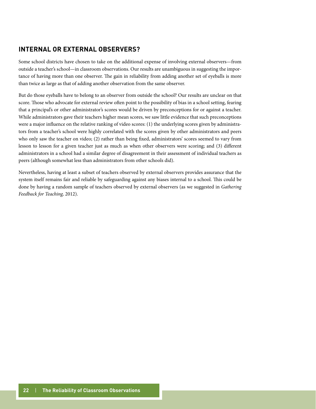#### **Internal or External Observers?**

Some school districts have chosen to take on the additional expense of involving external observers—from outside a teacher's school—in classroom observations. Our results are unambiguous in suggesting the importance of having more than one observer. The gain in reliability from adding another set of eyeballs is more than twice as large as that of adding another observation from the same observer.

But do those eyeballs have to belong to an observer from outside the school? Our results are unclear on that score. Those who advocate for external review often point to the possibility of bias in a school setting, fearing that a principal's or other administrator's scores would be driven by preconceptions for or against a teacher. While administrators gave their teachers higher mean scores, we saw little evidence that such preconceptions were a major influence on the relative ranking of video scores: (1) the underlying scores given by administrators from a teacher's school were highly correlated with the scores given by other administrators and peers who only saw the teacher on video; (2) rather than being fixed, administrators' scores seemed to vary from lesson to lesson for a given teacher just as much as when other observers were scoring; and (3) different administrators in a school had a similar degree of disagreement in their assessment of individual teachers as peers (although somewhat less than administrators from other schools did).

Nevertheless, having at least a subset of teachers observed by external observers provides assurance that the system itself remains fair and reliable by safeguarding against any biases internal to a school. This could be done by having a random sample of teachers observed by external observers (as we suggested in *Gathering Feedback for Teaching,* 2012).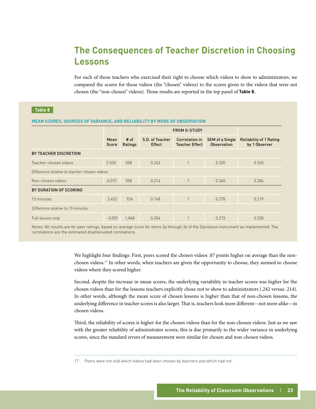# **The Consequences of Teacher Discretion in Choosing Lessons**

For each of those teachers who exercised their right to choose which videos to show to administrators, we compared the scores for those videos (the "chosen" videos) to the scores given to the videos that were not chosen (the "non-chosen" videos). Those results are reported in the top panel of **Table 8.**

#### **Table 8**

#### **Mean Scores, Sources of Variance, and Reliability by Mode of Observatio n**

|                                               |               |                   | <b>FROM G-STUDY</b>              |                                                |                                              |                                                 |  |  |  |
|-----------------------------------------------|---------------|-------------------|----------------------------------|------------------------------------------------|----------------------------------------------|-------------------------------------------------|--|--|--|
|                                               | Mean<br>Score | $#$ of<br>Ratings | S.D. of Teacher<br><b>Effect</b> | <b>Correlation in</b><br><b>Teacher Effect</b> | <b>SEM of a Single</b><br><b>Observation</b> | <b>Reliability of 1 Rating</b><br>by 1 Observer |  |  |  |
| <b>BY TEACHER DISCRETION</b>                  |               |                   |                                  |                                                |                                              |                                                 |  |  |  |
| Teacher-chosen videos                         | 2.530         | 558               | 0.242                            |                                                | 0.320                                        | 0.365                                           |  |  |  |
| Difference relative to teacher-chosen videos: |               |                   |                                  |                                                |                                              |                                                 |  |  |  |
| Non-chosen videos                             | $-0.072$      | 558               | 0.214                            |                                                | 0.340                                        | 0.284                                           |  |  |  |
| BY DURATION OF SCORING                        |               |                   |                                  |                                                |                                              |                                                 |  |  |  |
| 15 minutes                                    | 2.452         | 924               | 0.148                            |                                                | 0.278                                        | 0.219                                           |  |  |  |
| Difference relative to 15 minutes:            |               |                   |                                  |                                                |                                              |                                                 |  |  |  |
| Full lesson only                              | $-0.005$      | 1,848             | 0.204                            |                                                | 0.273                                        | 0.358                                           |  |  |  |

Notes: All results are for peer ratings, based on average score for items 2a through 3e of the Danielson instrument as implemented. The correlations are the estimated disattenuated correlations.

> We highlight four findings: First, peers scored the chosen videos .07 points higher on average than the nonchosen videos.17 In other words, when teachers are given the opportunity to choose, they seemed to choose videos where they scored higher.

> Second, despite the increase in mean scores, the underlying variability in teacher scores was higher for the chosen videos than for the lessons teachers explicitly chose not to show to administrators (.242 versus .214). In other words, although the mean score of chosen lessons is higher than that of non-chosen lessons, the underlying difference in teacher scores is also larger. That is, teachers look more different—not more alike—in chosen videos.

> Third, the reliability of scores is higher for the chosen videos than for the non-chosen videos. Just as we saw with the greater reliability of administrator scores, this is due primarily to the wider variance in underlying scores, since the standard errors of measurement were similar for chosen and non-chosen videos.

<sup>17</sup> Peers were not told which videos had been chosen by teachers and which had not.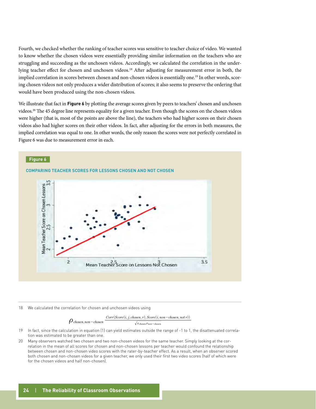Fourth, we checked whether the ranking of teacher scores was sensitive to teacher choice of video. We wanted to know whether the chosen videos were essentially providing similar information on the teachers who are struggling and succeeding as the unchosen videos. Accordingly, we calculated the correlation in the underlying teacher effect for chosen and unchosen videos.18 After adjusting for measurement error in both, the implied correlation in scores between chosen and non-chosen videos is essentially one.<sup>19</sup> In other words, scoring chosen videos not only produces a wider distribution of scores; it also seems to preserve the ordering that would have been produced using the non-chosen videos.

We illustrate that fact in **Figure 6** by plotting the average scores given by peers to teachers' chosen and unchosen videos.20 The 45 degree line represents equality for a given teacher. Even though the scores on the chosen videos were higher (that is, most of the points are above the line), the teachers who had higher scores on their chosen videos also had higher scores on their other videos. In fact, after adjusting for the errors in both measures, the implied correlation was equal to one. In other words, the only reason the scores were not perfectly correlated in Figure 6 was due to measurement error in each.



18 We calculated the correlation for chosen and unchosen videos using

$$
O_{\textit{chosen},\textit{non}-\textit{chosen}} \xrightarrow{Corr(Score(i,j,\textit{chosen},r),Score(i,\textit{non}-\textit{chosen},\textit{not}\,r))}
$$

- 19 In fact, since the calculation in equation (1) can yield estimates outside the range of -1 to 1, the disattenuated correlation was estimated to be greater than one.
- 20 Many observers watched two chosen and two non-chosen videos for the same teacher. Simply looking at the correlation in the mean of all scores for chosen and non-chosen lessons per teacher would confound the relationship between chosen and non-chosen video scores with the rater-by-teacher effect. As a result, when an observer scored both chosen and non-chosen videos for a given teacher, we only used their first two video scores (half of which were for the chosen videos and half non-chosen).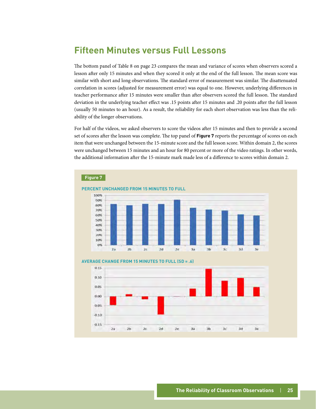## **Fifteen Minutes versus Full Lessons**

The bottom panel of Table 8 on page 23 compares the mean and variance of scores when observers scored a lesson after only 15 minutes and when they scored it only at the end of the full lesson. The mean score was similar with short and long observations. The standard error of measurement was similar. The disattenuated correlation in scores (adjusted for measurement error) was equal to one. However, underlying differences in teacher performance after 15 minutes were smaller than after observers scored the full lesson. The standard deviation in the underlying teacher effect was .15 points after 15 minutes and .20 points after the full lesson (usually 50 minutes to an hour). As a result, the reliability for each short observation was less than the reliability of the longer observations.

For half of the videos, we asked observers to score the videos after 15 minutes and then to provide a second set of scores after the lesson was complete. The top panel of **Figure 7** reports the percentage of scores on each item that were unchanged between the 15-minute score and the full lesson score. Within domain 2, the scores were unchanged between 15 minutes and an hour for 80 percent or more of the video ratings. In other words, the additional information after the 15-minute mark made less of a difference to scores within domain 2.



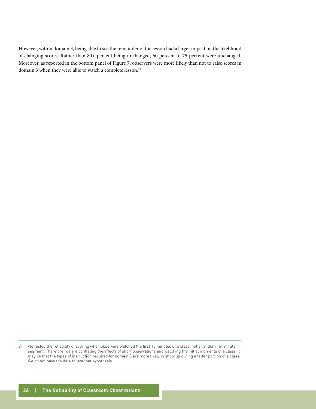However, within domain 3, being able to see the remainder of the lesson had a larger impact on the likelihood of changing scores. Rather than 80+ percent being unchanged, 60 percent to 75 percent were unchanged. Moreover, as reported in the bottom panel of Figure 7, observers were more likely than not to raise scores in domain 3 when they were able to watch a complete lesson.<sup>21</sup>

<sup>21</sup> We tested the reliability of scoring when observers watched the first 15 minutes of a class, not a random 15-minute segment. Therefore, we are conflating the effects of short observations and watching the initial moments of a class. It may be that the types of instruction required for domain 3 are more likely to show up during a latter portion of a class. We do not have the data to test that hypothesis.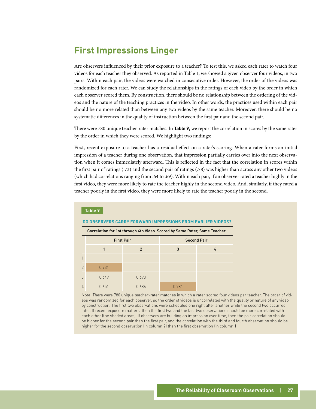# **First Impressions Linger**

Are observers influenced by their prior exposure to a teacher? To test this, we asked each rater to watch four videos for each teacher they observed. As reported in Table 1, we showed a given observer four videos, in two pairs. Within each pair, the videos were watched in consecutive order. However, the order of the videos was randomized for each rater. We can study the relationships in the ratings of each video by the order in which each observer scored them. By construction, there should be no relationship between the ordering of the videos and the nature of the teaching practices in the video. In other words, the practices used within each pair should be no more related than between any two videos by the same teacher. Moreover, there should be no systematic differences in the quality of instruction between the first pair and the second pair.

There were 780 unique teacher-rater matches. In **Table 9,** we report the correlation in scores by the same rater by the order in which they were scored. We highlight two findings:

First, recent exposure to a teacher has a residual effect on a rater's scoring. When a rater forms an initial impression of a teacher during one observation, that impression partially carries over into the next observation when it comes immediately afterward. This is reflected in the fact that the correlation in scores within the first pair of ratings (.73) and the second pair of ratings (.78) was higher than across any other two videos (which had correlations ranging from .64 to .69). Within each pair, if an observer rated a teacher highly in the first video, they were more likely to rate the teacher highly in the second video. And, similarly, if they rated a teacher poorly in the first video, they were more likely to rate the teacher poorly in the second.

#### **Table 9**

#### **Do Observers Carry Forward Impressions from Earlier Videos?**

|               | correlation for the carbodyn will viaco because by banne nately banne reacher |                   |                    |  |  |  |  |  |  |  |  |  |
|---------------|-------------------------------------------------------------------------------|-------------------|--------------------|--|--|--|--|--|--|--|--|--|
|               |                                                                               | <b>First Pair</b> | <b>Second Pair</b> |  |  |  |  |  |  |  |  |  |
|               |                                                                               | 2                 | 3                  |  |  |  |  |  |  |  |  |  |
|               |                                                                               |                   |                    |  |  |  |  |  |  |  |  |  |
| $\mathcal{P}$ | 0.731                                                                         |                   |                    |  |  |  |  |  |  |  |  |  |
| 3             | 0.649                                                                         | 0.693             |                    |  |  |  |  |  |  |  |  |  |
| 4             | 0.651                                                                         | 0.686             | 0.781              |  |  |  |  |  |  |  |  |  |

Correlation for 1st through 4th Video Scored by Same Rater, Same Teacher

Note: There were 780 unique teacher-rater matches in which a rater scored four videos per teacher. The order of videos was randomized for each observer, so the order of videos is uncorrelated with the quality or nature of any video by construction. The first two observations were scheduled one right after another while the second two occurred later. If recent exposure matters, then the first two and the last two observations should be more correlated with each other (the shaded areas). If observers are building an impression over time, then the pair correlation should be higher for the second pair than the first pair, and the correlation with the third and fourth observation should be higher for the second observation (in column 2) than the first observation (in column 1).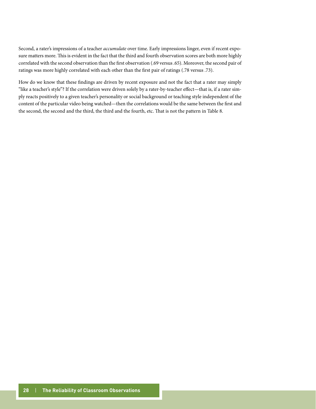Second, a rater's impressions of a teacher *accumulate* over time. Early impressions linger, even if recent exposure matters more. This is evident in the fact that the third and fourth observation scores are both more highly correlated with the second observation than the first observation (.69 versus .65). Moreover, the second pair of ratings was more highly correlated with each other than the first pair of ratings (.78 versus .73).

How do we know that these findings are driven by recent exposure and not the fact that a rater may simply "like a teacher's style"? If the correlation were driven solely by a rater-by-teacher effect—that is, if a rater simply reacts positively to a given teacher's personality or social background or teaching style independent of the content of the particular video being watched—then the correlations would be the same between the first and the second, the second and the third, the third and the fourth, etc. That is not the pattern in Table 8.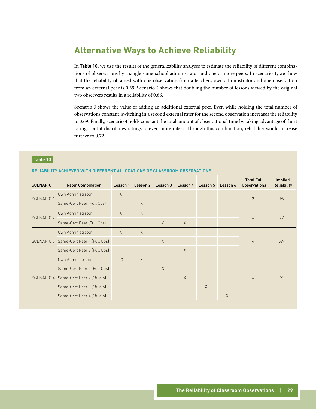# **Alternative Ways to Achieve Reliability**

In **Table 10,** we use the results of the generalizability analyses to estimate the reliability of different combinations of observations by a single same-school administrator and one or more peers. In scenario 1, we show that the reliability obtained with one observation from a teacher's own administrator and one observation from an external peer is 0.59. Scenario 2 shows that doubling the number of lessons viewed by the original two observers results in a reliability of 0.66.

Scenario 3 shows the value of adding an additional external peer. Even while holding the total number of observations constant, switching in a second external rater for the second observation increases the reliability to 0.69. Finally, scenario 4 holds constant the total amount of observational time by taking advantage of short ratings, but it distributes ratings to even more raters. Through this combination, reliability would increase further to 0.72.

#### **Table 10**

#### **Reliability Achieved with Different Allocatio ns of Classroom Observatio ns**

| <b>SCENARIO</b>   | <b>Rater Combination</b>               | Lesson 1 |          | Lesson 2 Lesson 3 |          | Lesson 4 Lesson 5 | Lesson 6 | <b>Total Full</b><br><b>Observations</b> | Implied<br><b>Reliability</b> |
|-------------------|----------------------------------------|----------|----------|-------------------|----------|-------------------|----------|------------------------------------------|-------------------------------|
| <b>SCENARIO 1</b> | Own Administrator                      | X        |          |                   |          |                   |          | $\overline{2}$                           | .59                           |
|                   | Same-Cert Peer (Full Obs)              |          | $\times$ |                   |          |                   |          |                                          |                               |
| <b>SCENARIO 2</b> | Own Administrator                      | X        | X        |                   |          |                   |          | $\overline{4}$                           | .66                           |
|                   | Same-Cert Peer (Full Obs)              |          |          | X                 | $\times$ |                   |          | $\overline{4}$                           |                               |
|                   | Own Administrator                      | $\chi$   | X        |                   |          |                   |          |                                          |                               |
|                   | SCENARIO 3 Same-Cert Peer 1 (Full Obs) |          |          | $\times$          |          |                   |          |                                          | .69                           |
|                   | Same-Cert Peer 2 (Full Obs)            |          |          |                   | $\times$ |                   |          |                                          |                               |
|                   | Own Administrator                      | $\chi$   | X        |                   |          |                   |          |                                          |                               |
|                   | Same-Cert Peer 1 (Full Obs)            |          |          | $\times$          |          |                   |          |                                          |                               |
|                   | SCENARIO 4 Same-Cert Peer 2 (15 Min)   |          |          |                   | $\times$ |                   |          | 4                                        | .72                           |
|                   | Same-Cert Peer 3 (15 Min)              |          |          |                   |          | $\times$          |          |                                          |                               |
|                   | Same-Cert Peer 4 (15 Min)              |          |          |                   |          |                   | $\times$ |                                          |                               |
|                   |                                        |          |          |                   |          |                   |          |                                          |                               |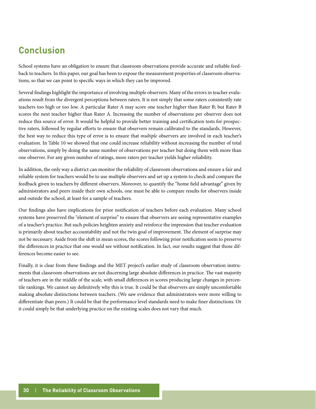# **Conclusion**

School systems have an obligation to ensure that classroom observations provide accurate and reliable feedback to teachers. In this paper, our goal has been to expose the measurement properties of classroom observations, so that we can point to specific ways in which they can be improved.

Several findings highlight the importance of involving multiple observers. Many of the errors in teacher evaluations result from the divergent perceptions between raters. It is not simply that some raters consistently rate teachers too high or too low. A particular Rater A may score one teacher higher than Rater B; but Rater B scores the next teacher higher than Rater A. Increasing the number of observations per observer does not reduce this source of error. It would be helpful to provide better training and certification tests for prospective raters, followed by regular efforts to ensure that observers remain calibrated to the standards. However, the best way to reduce this type of error is to ensure that *multiple* observers are involved in each teacher's evaluation. In Table 10 we showed that one could increase reliability without increasing the number of total observations, simply by doing the same number of observations per teacher but doing them with more than one observer. For any given number of ratings, more raters per teacher yields higher reliability.

In addition, the only way a district can monitor the reliability of classroom observations and ensure a fair and reliable system for teachers would be to use multiple observers and set up a system to check and compare the feedback given to teachers by different observers. Moreover, to quantify the "home field advantage" given by administrators and peers inside their own schools, one must be able to compare results for observers inside and outside the school, at least for a sample of teachers.

Our findings also have implications for prior notification of teachers before each evaluation. Many school systems have preserved the "element of surprise" to ensure that observers are seeing representative examples of a teacher's practice. But such policies heighten anxiety and reinforce the impression that teacher evaluation is primarily about teacher accountability and not the twin goal of improvement. The element of surprise may not be necessary. Aside from the shift in mean scores, the scores following prior notification seem to preserve the differences in practice that one would see without notification. In fact, our results suggest that those differences become easier to see.

Finally, it is clear from these findings and the MET project's earlier study of classroom observation instruments that classroom observations are not discerning large absolute differences in practice. The vast majority of teachers are in the middle of the scale, with small differences in scores producing large changes in percentile rankings. We cannot say definitively why this is true. It could be that observers are simply uncomfortable making absolute distinctions between teachers. (We saw evidence that administrators were more willing to differentiate than peers.) It could be that the performance level standards need to make finer distinctions. Or it could simply be that underlying practice on the existing scales does not vary that much.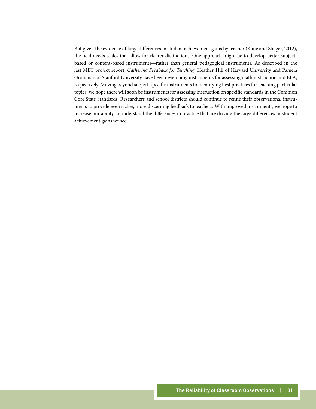But given the evidence of large differences in student achievement gains by teacher (Kane and Staiger, 2012), the field needs scales that allow for clearer distinctions. One approach might be to develop better subjectbased or content-based instruments—rather than general pedagogical instruments. As described in the last MET project report, *Gathering Feedback for Teaching,* Heather Hill of Harvard University and Pamela Grossman of Stanford University have been developing instruments for assessing math instruction and ELA, respectively. Moving beyond subject-specific instruments to identifying best practices for teaching particular topics, we hope there will soon be instruments for assessing instruction on specific standards in the Common Core State Standards. Researchers and school districts should continue to refine their observational instruments to provide even richer, more discerning feedback to teachers. With improved instruments, we hope to increase our ability to understand the differences in practice that are driving the large differences in student achievement gains we see.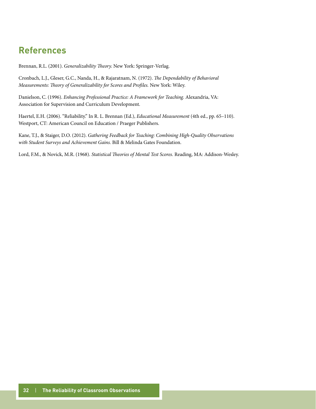# **References**

Brennan, R.L. (2001). *Generalizability Theory.* New York: Springer-Verlag.

Cronbach, L.J., Gleser, G.C., Nanda, H., & Rajaratnam, N. (1972). *The Dependability of Behavioral Measurements: Theory of Generalizability for Scores and Profiles.* New York: Wiley.

Danielson, C. (1996). *Enhancing Professional Practice: A Framework for Teaching.* Alexandria, VA: Association for Supervision and Curriculum Development.

Haertel, E.H. (2006). "Reliability." In R. L. Brennan (Ed.), *Educational Measurement* (4th ed., pp. 65–110). Westport, CT: American Council on Education / Praeger Publishers.

Kane, T.J., & Staiger, D.O. (2012). *Gathering Feedback for Teaching: Combining High-Quality Observations with Student Surveys and Achievement Gains.* Bill & Melinda Gates Foundation.

Lord, F.M., & Novick, M.R. (1968). *Statistical Theories of Mental Test Scores.* Reading, MA: Addison-Wesley.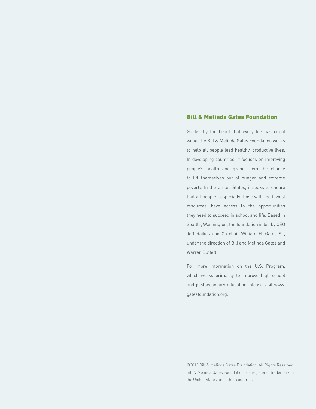#### Bill & Melinda Gates Foundation

Guided by the belief that every life has equal value, the Bill & Melinda Gates Foundation works to help all people lead healthy, productive lives. In developing countries, it focuses on improving people's health and giving them the chance to lift themselves out of hunger and extreme poverty. In the United States, it seeks to ensure that all people—especially those with the fewest resources—have access to the opportunities they need to succeed in school and life. Based in Seattle, Washington, the foundation is led by CEO Jeff Raikes and Co-chair William H. Gates Sr., under the direction of Bill and Melinda Gates and Warren Buffett.

For more information on the U.S. Program, which works primarily to improve high school and postsecondary education, please visit www. gatesfoundation.org.

©2013 Bill & Melinda Gates Foundation. All Rights Reserved. Bill & Melinda Gates Foundation is a registered trademark in the United States and other countries.